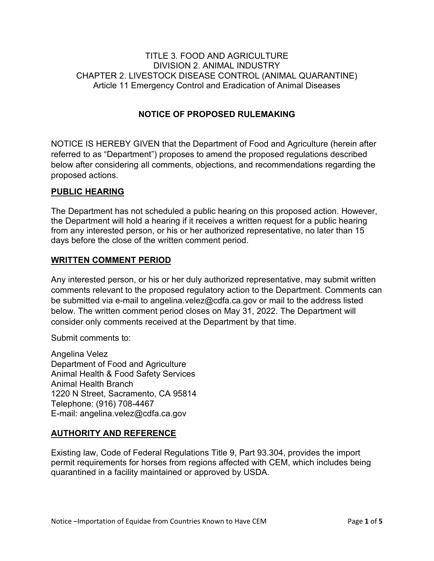#### TITLE 3. FOOD AND AGRICULTURE DIVISION 2. ANIMAL INDUSTRY CHAPTER 2. LIVESTOCK DISEASE CONTROL (ANIMAL QUARANTINE) Article 11 Emergency Control and Eradication of Animal Diseases

#### **NOTICE OF PROPOSED RULEMAKING**

NOTICE IS HEREBY GIVEN that the Department of Food and Agriculture (herein after referred to as "Department") proposes to amend the proposed regulations described below after considering all comments, objections, and recommendations regarding the proposed actions.

#### **PUBLIC HEARING**

The Department has not scheduled a public hearing on this proposed action. However, the Department will hold a hearing if it receives a written request for a public hearing from any interested person, or his or her authorized representative, no later than 15 days before the close of the written comment period.

#### **WRITTEN COMMENT PERIOD**

 below. The written comment period closes on May 31, 2022. The Department will Any interested person, or his or her duly authorized representative, may submit written comments relevant to the proposed regulatory action to the Department. Comments can be submitted via e-mail to [angelina.velez@cdfa.ca.gov](mailto:angelina.velez@cdfa.ca.gov) or mail to the address listed consider only comments received at the Department by that time.

Submit comments to:

Angelina Velez Department of Food and Agriculture Animal Health & Food Safety Services Animal Health Branch 1220 N Street, Sacramento, CA 95814 Telephone: (916) 708-4467 E-mail: [angelina.velez@cdfa.ca.gov](mailto:angelina.velez@cdfa.ca.gov) 

#### **AUTHORITY AND REFERENCE**

 Existing law, Code of Federal Regulations Title 9, Part 93.304, provides the import permit requirements for horses from regions affected with CEM, which includes being quarantined in a facility maintained or approved by USDA.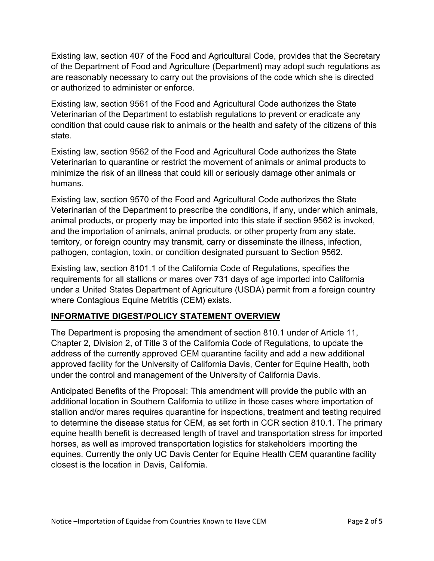Existing law, section 407 of the Food and Agricultural Code, provides that the Secretary of the Department of Food and Agriculture (Department) may adopt such regulations as are reasonably necessary to carry out the provisions of the code which she is directed or authorized to administer or enforce.

 condition that could cause risk to animals or the health and safety of the citizens of this state. Existing law, section 9561 of the Food and Agricultural Code authorizes the State Veterinarian of the Department to establish regulations to prevent or eradicate any

Existing law, section 9562 of the Food and Agricultural Code authorizes the State Veterinarian to quarantine or restrict the movement of animals or animal products to minimize the risk of an illness that could kill or seriously damage other animals or humans.

 Veterinarian of the Department to prescribe the conditions, if any, under which animals, animal products, or property may be imported into this state if section 9562 is invoked, and the importation of animals, animal products, or other property from any state, pathogen, contagion, toxin, or condition designated pursuant to Section 9562. Existing law, section 9570 of the Food and Agricultural Code authorizes the State territory, or foreign country may transmit, carry or disseminate the illness, infection,

 requirements for all stallions or mares over 731 days of age imported into California Existing law, section 8101.1 of the California Code of Regulations, specifies the under a United States Department of Agriculture (USDA) permit from a foreign country where Contagious Equine Metritis (CEM) exists.

## **INFORMATIVE DIGEST/POLICY STATEMENT OVERVIEW**

 The Department is proposing the amendment of section 810.1 under of Article 11, Chapter 2, Division 2, of Title 3 of the California Code of Regulations, to update the address of the currently approved CEM quarantine facility and add a new additional under the control and management of the University of California Davis. approved facility for the University of California Davis, Center for Equine Health, both

 stallion and/or mares requires quarantine for inspections, treatment and testing required horses, as well as improved transportation logistics for stakeholders importing the equines. Currently the only UC Davis Center for Equine Health CEM quarantine facility Anticipated Benefits of the Proposal: This amendment will provide the public with an additional location in Southern California to utilize in those cases where importation of to determine the disease status for CEM, as set forth in CCR section 810.1. The primary equine health benefit is decreased length of travel and transportation stress for imported closest is the location in Davis, California.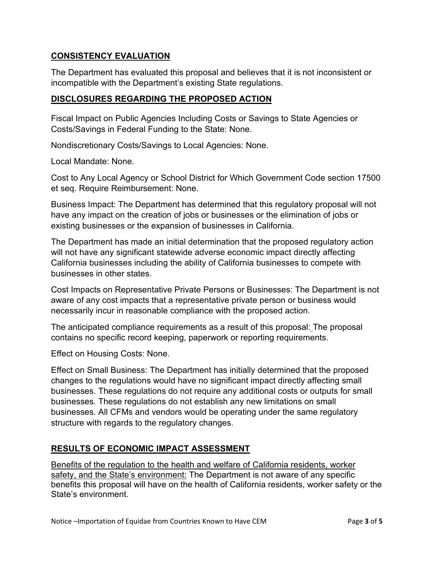#### **CONSISTENCY EVALUATION**

The Department has evaluated this proposal and believes that it is not inconsistent or incompatible with the Department's existing State regulations.

#### **DISCLOSURES REGARDING THE PROPOSED ACTION**

Costs/Savings in Federal Funding to the State: None. Fiscal Impact on Public Agencies Including Costs or Savings to State Agencies or

Nondiscretionary Costs/Savings to Local Agencies: None.

Local Mandate: None.

 Cost to Any Local Agency or School District for Which Government Code section 17500 et seq. Require Reimbursement: None.

Business Impact: The Department has determined that this regulatory proposal will not have any impact on the creation of jobs or businesses or the elimination of jobs or existing businesses or the expansion of businesses in California.

The Department has made an initial determination that the proposed regulatory action will not have any significant statewide adverse economic impact directly affecting California businesses including the ability of California businesses to compete with businesses in other states.

 Cost Impacts on Representative Private Persons or Businesses: The Department is not aware of any cost impacts that a representative private person or business would necessarily incur in reasonable compliance with the proposed action.

 The anticipated compliance requirements as a result of this proposal: The proposal contains no specific record keeping, paperwork or reporting requirements.

Effect on Housing Costs: None.

Effect on Small Business: The Department has initially determined that the proposed changes to the regulations would have no significant impact directly affecting small businesses. These regulations do not require any additional costs or outputs for small businesses. These regulations do not establish any new limitations on small businesses. All CFMs and vendors would be operating under the same regulatory structure with regards to the regulatory changes.

## **RESULTS OF ECONOMIC IMPACT ASSESSMENT**

 safety, and the State's environment: The Department is not aware of any specific benefits this proposal will have on the health of California residents, worker safety or the Benefits of the regulation to the health and welfare of California residents, worker State's environment.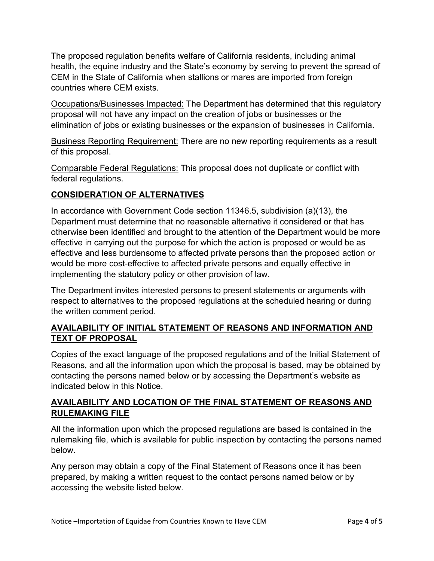The proposed regulation benefits welfare of California residents, including animal health, the equine industry and the State's economy by serving to prevent the spread of CEM in the State of California when stallions or mares are imported from foreign countries where CEM exists.

 Occupations/Businesses Impacted: The Department has determined that this regulatory proposal will not have any impact on the creation of jobs or businesses or the elimination of jobs or existing businesses or the expansion of businesses in California.

 Business Reporting Requirement: There are no new reporting requirements as a result of this proposal.

Comparable Federal Regulations: This proposal does not duplicate or conflict with federal regulations.

# **CONSIDERATION OF ALTERNATIVES**

 Department must determine that no reasonable alternative it considered or that has In accordance with Government Code section 11346.5, subdivision (a)(13), the otherwise been identified and brought to the attention of the Department would be more effective in carrying out the purpose for which the action is proposed or would be as effective and less burdensome to affected private persons than the proposed action or would be more cost-effective to affected private persons and equally effective in implementing the statutory policy or other provision of law.

 the written comment period. The Department invites interested persons to present statements or arguments with respect to alternatives to the proposed regulations at the scheduled hearing or during

## **AVAILABILITY OF INITIAL STATEMENT OF REASONS AND INFORMATION AND TEXT OF PROPOSAL**

 Copies of the exact language of the proposed regulations and of the Initial Statement of Reasons, and all the information upon which the proposal is based, may be obtained by indicated below in this Notice. contacting the persons named below or by accessing the Department's website as

## **AVAILABILITY AND LOCATION OF THE FINAL STATEMENT OF REASONS AND RULEMAKING FILE**

All the information upon which the proposed regulations are based is contained in the rulemaking file, which is available for public inspection by contacting the persons named below.

 Any person may obtain a copy of the Final Statement of Reasons once it has been prepared, by making a written request to the contact persons named below or by accessing the website listed below.